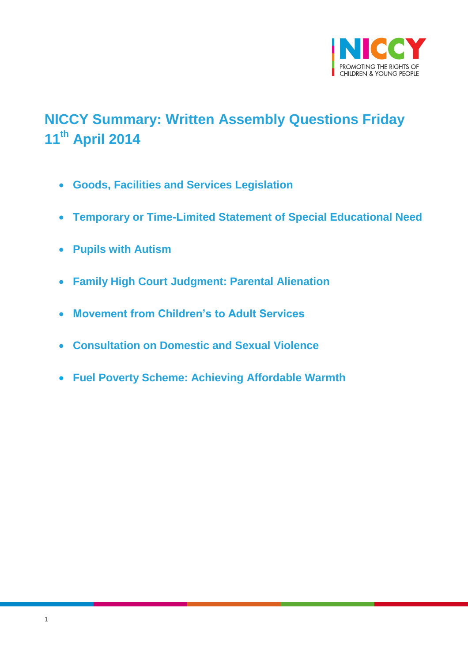

# <span id="page-0-0"></span>**NICCY Summary: Written Assembly Questions Friday 11th April 2014**

- **[Goods, Facilities and Services Legislation](#page-1-0)**
- **[Temporary or Time-Limited Statement of Special Educational Need](#page-1-1)**
- **[Pupils with Autism](#page-2-0)**
- **[Family High Court Judgment: Parental Alienation](#page-3-0)**
- **[Movement from Children's to Adult Services](#page-4-0)**
- **[Consultation on Domestic and Sexual Violence](#page-5-0)**
- **[Fuel Poverty Scheme: Achieving Affordable Warmth](#page-6-0)**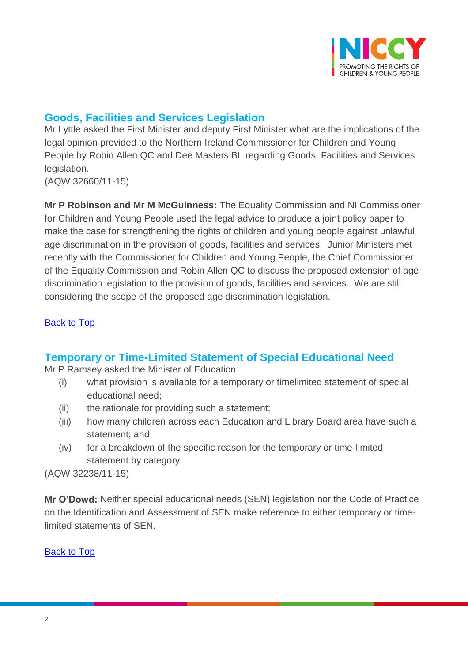

# <span id="page-1-0"></span>**Goods, Facilities and Services Legislation**

Mr Lyttle asked the First Minister and deputy First Minister what are the implications of the legal opinion provided to the Northern Ireland Commissioner for Children and Young People by Robin Allen QC and Dee Masters BL regarding Goods, Facilities and Services legislation.

(AQW 32660/11-15)

**Mr P Robinson and Mr M McGuinness:** The Equality Commission and NI Commissioner for Children and Young People used the legal advice to produce a joint policy paper to make the case for strengthening the rights of children and young people against unlawful age discrimination in the provision of goods, facilities and services. Junior Ministers met recently with the Commissioner for Children and Young People, the Chief Commissioner of the Equality Commission and Robin Allen QC to discuss the proposed extension of age discrimination legislation to the provision of goods, facilities and services. We are still considering the scope of the proposed age discrimination legislation.

## **[Back to Top](#page-0-0)**

## <span id="page-1-1"></span>**Temporary or Time-Limited Statement of Special Educational Need**

Mr P Ramsey asked the Minister of Education

- (i) what provision is available for a temporary or timelimited statement of special educational need;
- (ii) the rationale for providing such a statement;
- (iii) how many children across each Education and Library Board area have such a statement; and
- (iv) for a breakdown of the specific reason for the temporary or time-limited statement by category.

(AQW 32238/11-15)

**Mr O'Dowd:** Neither special educational needs (SEN) legislation nor the Code of Practice on the Identification and Assessment of SEN make reference to either temporary or timelimited statements of SEN.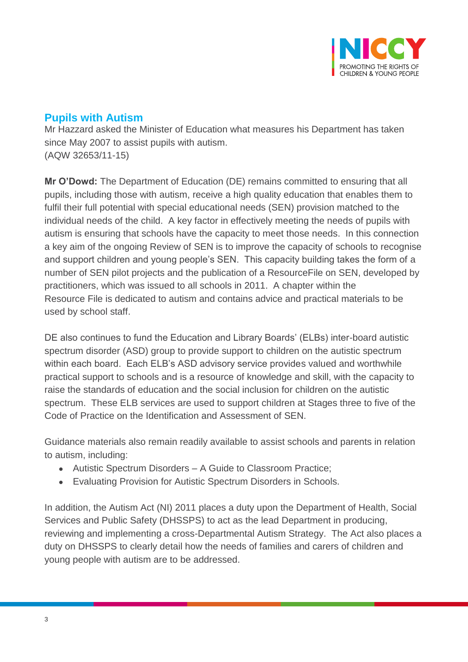

# <span id="page-2-0"></span>**Pupils with Autism**

Mr Hazzard asked the Minister of Education what measures his Department has taken since May 2007 to assist pupils with autism. (AQW 32653/11-15)

**Mr O'Dowd:** The Department of Education (DE) remains committed to ensuring that all pupils, including those with autism, receive a high quality education that enables them to fulfil their full potential with special educational needs (SEN) provision matched to the individual needs of the child. A key factor in effectively meeting the needs of pupils with autism is ensuring that schools have the capacity to meet those needs. In this connection a key aim of the ongoing Review of SEN is to improve the capacity of schools to recognise and support children and young people's SEN. This capacity building takes the form of a number of SEN pilot projects and the publication of a ResourceFile on SEN, developed by practitioners, which was issued to all schools in 2011. A chapter within the Resource File is dedicated to autism and contains advice and practical materials to be used by school staff.

DE also continues to fund the Education and Library Boards' (ELBs) inter-board autistic spectrum disorder (ASD) group to provide support to children on the autistic spectrum within each board. Each ELB's ASD advisory service provides valued and worthwhile practical support to schools and is a resource of knowledge and skill, with the capacity to raise the standards of education and the social inclusion for children on the autistic spectrum. These ELB services are used to support children at Stages three to five of the Code of Practice on the Identification and Assessment of SEN.

Guidance materials also remain readily available to assist schools and parents in relation to autism, including:

- Autistic Spectrum Disorders A Guide to Classroom Practice;
- Evaluating Provision for Autistic Spectrum Disorders in Schools.

In addition, the Autism Act (NI) 2011 places a duty upon the Department of Health, Social Services and Public Safety (DHSSPS) to act as the lead Department in producing, reviewing and implementing a cross-Departmental Autism Strategy. The Act also places a duty on DHSSPS to clearly detail how the needs of families and carers of children and young people with autism are to be addressed.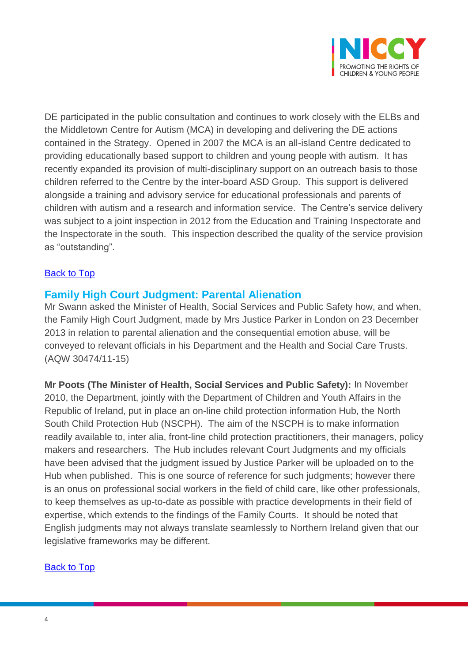

DE participated in the public consultation and continues to work closely with the ELBs and the Middletown Centre for Autism (MCA) in developing and delivering the DE actions contained in the Strategy. Opened in 2007 the MCA is an all-island Centre dedicated to providing educationally based support to children and young people with autism. It has recently expanded its provision of multi-disciplinary support on an outreach basis to those children referred to the Centre by the inter-board ASD Group. This support is delivered alongside a training and advisory service for educational professionals and parents of children with autism and a research and information service. The Centre's service delivery was subject to a joint inspection in 2012 from the Education and Training Inspectorate and the Inspectorate in the south. This inspection described the quality of the service provision as "outstanding".

## [Back to Top](#page-0-0)

## <span id="page-3-0"></span>**Family High Court Judgment: Parental Alienation**

Mr Swann asked the Minister of Health, Social Services and Public Safety how, and when, the Family High Court Judgment, made by Mrs Justice Parker in London on 23 December 2013 in relation to parental alienation and the consequential emotion abuse, will be conveyed to relevant officials in his Department and the Health and Social Care Trusts. (AQW 30474/11-15)

**Mr Poots (The Minister of Health, Social Services and Public Safety):** In November 2010, the Department, jointly with the Department of Children and Youth Affairs in the Republic of Ireland, put in place an on-line child protection information Hub, the North South Child Protection Hub (NSCPH). The aim of the NSCPH is to make information readily available to, inter alia, front-line child protection practitioners, their managers, policy makers and researchers. The Hub includes relevant Court Judgments and my officials have been advised that the judgment issued by Justice Parker will be uploaded on to the Hub when published. This is one source of reference for such judgments; however there is an onus on professional social workers in the field of child care, like other professionals, to keep themselves as up-to-date as possible with practice developments in their field of expertise, which extends to the findings of the Family Courts. It should be noted that English judgments may not always translate seamlessly to Northern Ireland given that our legislative frameworks may be different.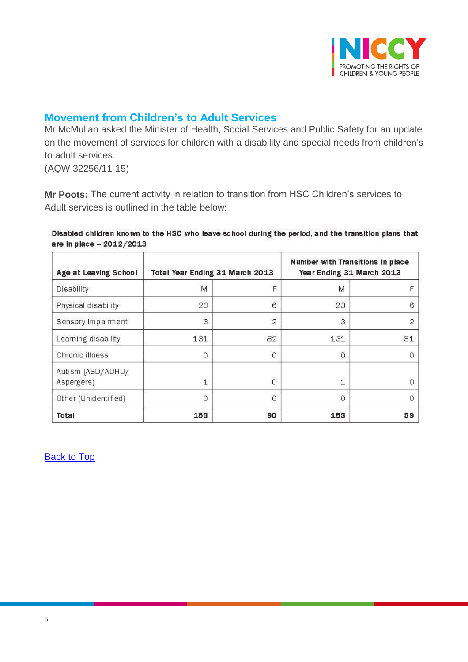

## <span id="page-4-0"></span>**Movement from Children's to Adult Services**

Mr McMullan asked the Minister of Health, Social Services and Public Safety for an update on the movement of services for children with a disability and special needs from children's to adult services.

(AQW 32256/11-15)

**Mr Poots:** The current activity in relation to transition from HSC Children's services to Adult services is outlined in the table below:

Disabled children known to the HSC who leave school during the period, and the transition plans that are in place - 2012/2013

| Age at Leaving School           | Total Year Ending 31 March 2013 |                 | Number with Transitions in place<br>Year Ending 31 March 2013 |                     |
|---------------------------------|---------------------------------|-----------------|---------------------------------------------------------------|---------------------|
| Disability                      | M                               | F               | M                                                             | F                   |
| Physical disability             | 23                              | $6\overline{6}$ | 23                                                            | $\ddot{\mathrm{o}}$ |
| Sensory Impairment              | 3                               | $\overline{2}$  | 3                                                             | $\overline{2}$      |
| Learning disability             | 131                             | 82              | 131                                                           | 81                  |
| Chronic illness                 | $\circ$                         | $\circ$         | $\Omega$                                                      | Ω                   |
| Autism (ASD/ADHD/<br>Aspergers) | $\overline{1}$                  | $\overline{0}$  | 1                                                             | Ω                   |
| Other (Unidentified)            | 0                               | $\circ$         | $\Omega$                                                      | $\Omega$            |
| Total                           | 158                             | 90              | 158                                                           | 89                  |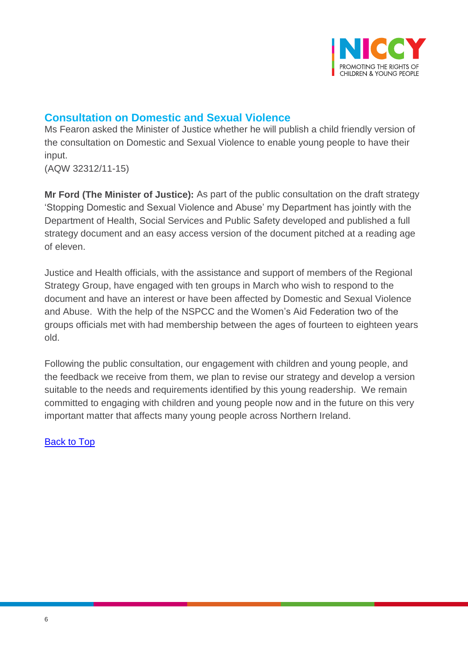

# <span id="page-5-0"></span>**Consultation on Domestic and Sexual Violence**

Ms Fearon asked the Minister of Justice whether he will publish a child friendly version of the consultation on Domestic and Sexual Violence to enable young people to have their input.

(AQW 32312/11-15)

**Mr Ford (The Minister of Justice):** As part of the public consultation on the draft strategy 'Stopping Domestic and Sexual Violence and Abuse' my Department has jointly with the Department of Health, Social Services and Public Safety developed and published a full strategy document and an easy access version of the document pitched at a reading age of eleven.

Justice and Health officials, with the assistance and support of members of the Regional Strategy Group, have engaged with ten groups in March who wish to respond to the document and have an interest or have been affected by Domestic and Sexual Violence and Abuse. With the help of the NSPCC and the Women's Aid Federation two of the groups officials met with had membership between the ages of fourteen to eighteen years old.

Following the public consultation, our engagement with children and young people, and the feedback we receive from them, we plan to revise our strategy and develop a version suitable to the needs and requirements identified by this young readership. We remain committed to engaging with children and young people now and in the future on this very important matter that affects many young people across Northern Ireland.